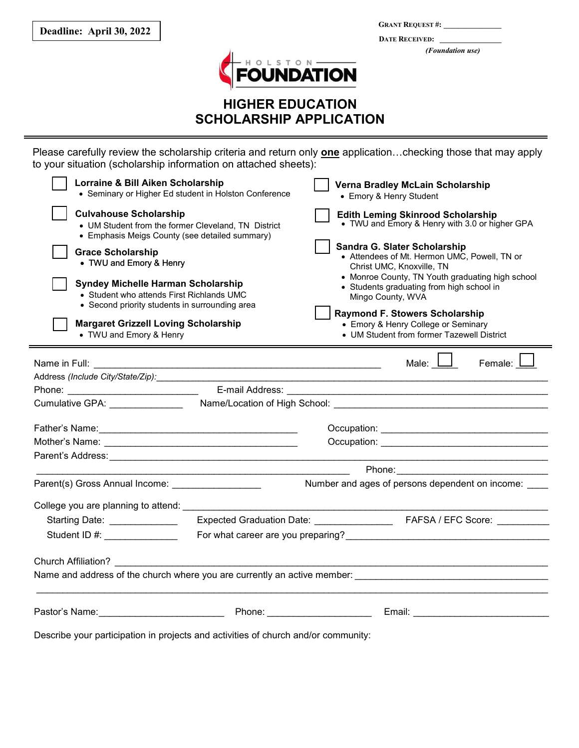**GRANT REQUEST #: \_\_\_\_\_\_\_\_\_\_\_\_\_\_\_ DATE RECEIVED: \_\_\_\_\_\_\_\_\_\_\_\_\_\_\_\_**  *(Foundation use)* 



## **HIGHER EDUCATION SCHOLARSHIP APPLICATION**

Please carefully review the scholarship criteria and return only **one** application…checking those that may apply to your situation (scholarship information on attached sheets):

| Lorraine & Bill Aiken Scholarship<br>• Seminary or Higher Ed student in Holston Conference                                                                                                                                                                                | Verna Bradley McLain Scholarship<br>• Emory & Henry Student                                                                                                                                                                                                                                                                                                   |
|---------------------------------------------------------------------------------------------------------------------------------------------------------------------------------------------------------------------------------------------------------------------------|---------------------------------------------------------------------------------------------------------------------------------------------------------------------------------------------------------------------------------------------------------------------------------------------------------------------------------------------------------------|
| <b>Culvahouse Scholarship</b><br>• UM Student from the former Cleveland, TN District<br>• Emphasis Meigs County (see detailed summary)                                                                                                                                    | <b>Edith Leming Skinrood Scholarship</b><br>• TWU and Emory & Henry with 3.0 or higher GPA                                                                                                                                                                                                                                                                    |
| <b>Grace Scholarship</b><br>• TWU and Emory & Henry<br><b>Syndey Michelle Harman Scholarship</b><br>• Student who attends First Richlands UMC<br>• Second priority students in surrounding area<br><b>Margaret Grizzell Loving Scholarship</b><br>• TWU and Emory & Henry | Sandra G. Slater Scholarship<br>• Attendees of Mt. Hermon UMC, Powell, TN or<br>Christ UMC, Knoxville, TN<br>• Monroe County, TN Youth graduating high school<br>• Students graduating from high school in<br>Mingo County, WVA<br><b>Raymond F. Stowers Scholarship</b><br>• Emory & Henry College or Seminary<br>• UM Student from former Tazewell District |
|                                                                                                                                                                                                                                                                           | Male: $\Box$<br>Female: L                                                                                                                                                                                                                                                                                                                                     |
| Address (Include City/State/Zip):                                                                                                                                                                                                                                         |                                                                                                                                                                                                                                                                                                                                                               |
|                                                                                                                                                                                                                                                                           |                                                                                                                                                                                                                                                                                                                                                               |
|                                                                                                                                                                                                                                                                           |                                                                                                                                                                                                                                                                                                                                                               |
|                                                                                                                                                                                                                                                                           |                                                                                                                                                                                                                                                                                                                                                               |
|                                                                                                                                                                                                                                                                           |                                                                                                                                                                                                                                                                                                                                                               |
|                                                                                                                                                                                                                                                                           |                                                                                                                                                                                                                                                                                                                                                               |
|                                                                                                                                                                                                                                                                           | Phone: 2008 2009 2010 2021 2022 2023 2024 2022 2022 2023 2024 2022 2023 2024 2022 2023 2024 2022 2023 2024 20                                                                                                                                                                                                                                                 |
| Parent(s) Gross Annual Income: _________________                                                                                                                                                                                                                          | Number and ages of persons dependent on income: ____                                                                                                                                                                                                                                                                                                          |
| College you are planning to attend:                                                                                                                                                                                                                                       | the control of the control of the control of the control of                                                                                                                                                                                                                                                                                                   |
| Starting Date: _____________                                                                                                                                                                                                                                              |                                                                                                                                                                                                                                                                                                                                                               |
| Student ID #: _______________                                                                                                                                                                                                                                             |                                                                                                                                                                                                                                                                                                                                                               |
|                                                                                                                                                                                                                                                                           |                                                                                                                                                                                                                                                                                                                                                               |
| Pastor's Name: <u>Contract Communication</u> Phone: Phone: Communication Communication Communication Communication Communication Communication Communication Communication Communication Communication Communication Communication                                        |                                                                                                                                                                                                                                                                                                                                                               |

Describe your participation in projects and activities of church and/or community: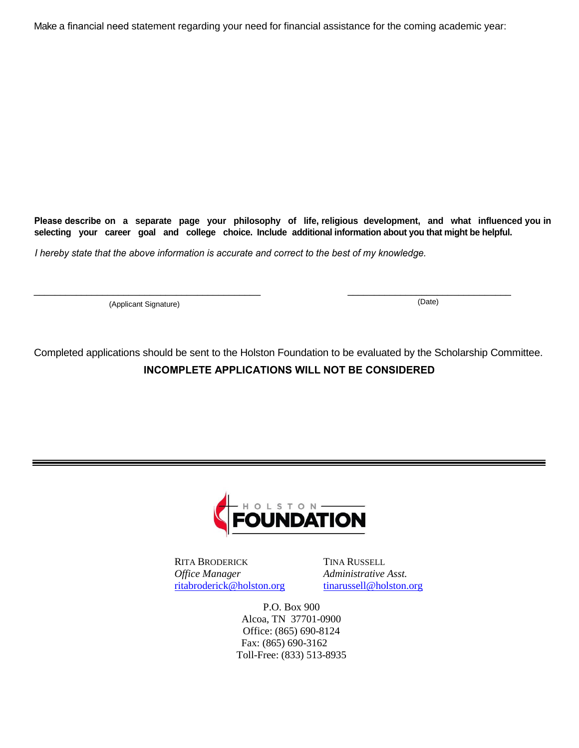Make a financial need statement regarding your need for financial assistance for the coming academic year:

**Please describe on a separate page your philosophy of life, religious development, and what influenced you in selecting your career goal and college choice. Include additional information about you that might be helpful.**

*I hereby state that the above information is accurate and correct to the best of my knowledge.*

(Applicant Signature) (Date)

Completed applications should be sent to the Holston Foundation to be evaluated by the Scholarship Committee. **INCOMPLETE APPLICATIONS WILL NOT BE CONSIDERED** 

 $\_$  , and the set of the set of the set of the set of the set of the set of the set of the set of the set of the set of the set of the set of the set of the set of the set of the set of the set of the set of the set of th



RITA BRODERICK TINA RUSSELL *Office Manager Administrative Asst.* [ritabroderick@holston.org](mailto:ritabroderick@holston.org) [tinarussell@holston.org](mailto:tinarussell@holston.org)

P.O. Box 900 Alcoa, TN 37701-0900 Office: (865) 690-8124 Fax: (865) 690-3162 Toll-Free: (833) 513-8935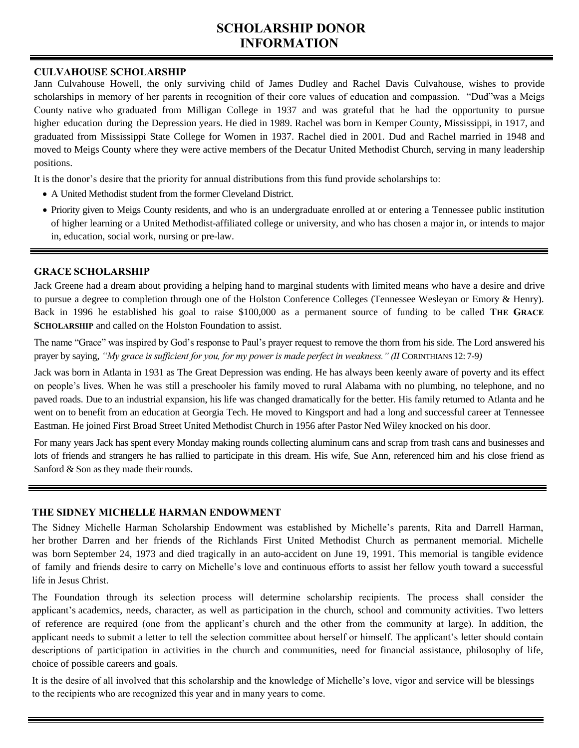# **SCHOLARSHIP DONOR INFORMATION**

#### **CULVAHOUSE SCHOLARSHIP**

Jann Culvahouse Howell, the only surviving child of James Dudley and Rachel Davis Culvahouse, wishes to provide scholarships in memory of her parents in recognition of their core values of education and compassion. "Dud"was a Meigs County native who graduated from Milligan College in 1937 and was grateful that he had the opportunity to pursue higher education during the Depression years. He died in 1989. Rachel was born in Kemper County, Mississippi, in 1917, and graduated from Mississippi State College for Women in 1937. Rachel died in 2001. Dud and Rachel married in 1948 and moved to Meigs County where they were active members of the Decatur United Methodist Church, serving in many leadership positions.

It is the donor's desire that the priority for annual distributions from this fund provide scholarships to:

- A United Methodist student from the former Cleveland District.
- Priority given to Meigs County residents, and who is an undergraduate enrolled at or entering a Tennessee public institution of higher learning or a United Methodist-affiliated college or university, and who has chosen a major in, or intends to major in, education, social work, nursing or pre-law.

#### **GRACE SCHOLARSHIP**

Jack Greene had a dream about providing a helping hand to marginal students with limited means who have a desire and drive to pursue a degree to completion through one of the Holston Conference Colleges (Tennessee Wesleyan or Emory & Henry). Back in 1996 he established his goal to raise \$100,000 as a permanent source of funding to be called **THE GRACE SCHOLARSHIP** and called on the Holston Foundation to assist.

The name "Grace" was inspired by God's response to Paul's prayer request to remove the thorn from his side. The Lord answered his prayer by saying, *"My grace is sufficient for you, for my power is made perfect in weakness." (II* CORINTHIANS 12: 7-9*)* 

Jack was born in Atlanta in 1931 as The Great Depression was ending. He has always been keenly aware of poverty and its effect on people's lives. When he was still a preschooler his family moved to rural Alabama with no plumbing, no telephone, and no paved roads. Due to an industrial expansion, his life was changed dramatically for the better. His family returned to Atlanta and he went on to benefit from an education at Georgia Tech. He moved to Kingsport and had a long and successful career at Tennessee Eastman. He joined First Broad Street United Methodist Church in 1956 after Pastor Ned Wiley knocked on his door.

For many years Jack has spent every Monday making rounds collecting aluminum cans and scrap from trash cans and businesses and lots of friends and strangers he has rallied to participate in this dream. His wife, Sue Ann, referenced him and his close friend as Sanford & Son as they made their rounds.

### **THE SIDNEY MICHELLE HARMAN ENDOWMENT**

The Sidney Michelle Harman Scholarship Endowment was established by Michelle's parents, Rita and Darrell Harman, her brother Darren and her friends of the Richlands First United Methodist Church as permanent memorial. Michelle was born September 24, 1973 and died tragically in an auto-accident on June 19, 1991. This memorial is tangible evidence of family and friends desire to carry on Michelle's love and continuous efforts to assist her fellow youth toward a successful life in Jesus Christ.

The Foundation through its selection process will determine scholarship recipients. The process shall consider the applicant's academics, needs, character, as well as participation in the church, school and community activities. Two letters of reference are required (one from the applicant's church and the other from the community at large). In addition, the applicant needs to submit a letter to tell the selection committee about herself or himself. The applicant's letter should contain descriptions of participation in activities in the church and communities, need for financial assistance, philosophy of life, choice of possible careers and goals.

It is the desire of all involved that this scholarship and the knowledge of Michelle's love, vigor and service will be blessings to the recipients who are recognized this year and in many years to come.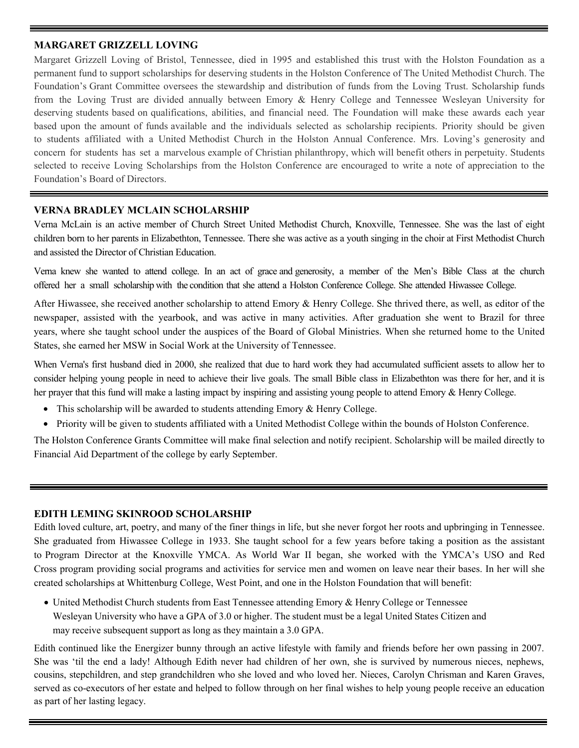#### **MARGARET GRIZZELL LOVING**

Margaret Grizzell Loving of Bristol, Tennessee, died in 1995 and established this trust with the Holston Foundation as a permanent fund to support scholarships for deserving students in the Holston Conference of The United Methodist Church. The Foundation's Grant Committee oversees the stewardship and distribution of funds from the Loving Trust. Scholarship funds from the Loving Trust are divided annually between Emory & Henry College and Tennessee Wesleyan University for deserving students based on qualifications, abilities, and financial need. The Foundation will make these awards each year based upon the amount of funds available and the individuals selected as scholarship recipients. Priority should be given to students affiliated with a United Methodist Church in the Holston Annual Conference. Mrs. Loving's generosity and concern for students has set a marvelous example of Christian philanthropy, which will benefit others in perpetuity. Students selected t[o receive](http://holston.org/about/agencies-institutions/holsto/higher-education-scholarships/staff/) Loving Scholarships from the Holston Conference are encouraged to write a note of appreciation to the Foundation's Board of Directors.

#### **VERNA BRADLEY MCLAIN SCHOLARSHIP**

Verna McLain is an active member of Church Street United Methodist Church, Knoxville, Tennessee. She was the last of eight children born to her parents in Elizabethton, Tennessee. There she was active as a youth singing in the choir at First Methodist Church and assisted the Director of Christian Education.

Verna knew she wanted to attend college. In an act of grace and generosity, a member of the Men's Bible Class at the church offered her a small scholarship with the condition that she attend a Holston Conference College. She attended Hiwassee College.

After Hiwassee, she received another scholarship to attend Emory & Henry College. She thrived there, as well, as editor of the newspaper, assisted with the yearbook, and was active in many activities. After graduation she went to Brazil for three years, where she taught school under the auspices of the Board of Global Ministries. When she returned home to the United States, she earned her MSW in Social Work at the University of Tennessee.

When Verna's first husband died in 2000, she realized that due to hard work they had accumulated sufficient assets to allow her to consider helping young people in need to achieve their live goals. The small Bible class in Elizabethton was there for her, and it is her prayer that this fund will make a lasting impact by inspiring and assisting young people to attend Emory & Henry College.

- This scholarship will be awarded to students attending Emory & Henry College.
- Priority will be given to students affiliated with a United Methodist College within the bounds of Holston Conference.

The Holston Conference Grants Committee will make final selection and notify recipient. Scholarship will be mailed directly to Financial Aid Department of the college by early September.

#### **EDITH LEMING SKINROOD SCHOLARSHIP**

Edith loved culture, art, poetry, and many of the finer things in life, but she never forgot her roots and upbringing in Tennessee. She graduated from Hiwassee College in 1933. She taught school for a few years before taking a position as the assistant to Program Director at the Knoxville YMCA. As World War II began, she worked with the YMCA's USO and Red Cross program providing social programs and activities for service men and women on leave near their bases. In her will she created scholarships at Whittenburg College, West Point, and one in the Holston Foundation that will benefit:

 United Methodist Church students from East Tennessee attending Emory & Henry College or Tennessee Wesleyan University who have a GPA of 3.0 or higher. The student must be a legal United States Citizen and may receive subsequent support as long as they maintain a 3.0 GPA.

Edith continued like the Energizer bunny through an active lifestyle with family and friends before her own passing in 2007. She was 'til the end a lady! Although Edith never had children of her own, she is survived by numerous nieces, nephews, cousins, stepchildren, and step grandchildren who she loved and who loved her. Nieces, Carolyn Chrisman and Karen Graves, served as co-executors of her estate and helped to follow through on her final wishes to help young people receive an education as part of her lasting legacy.